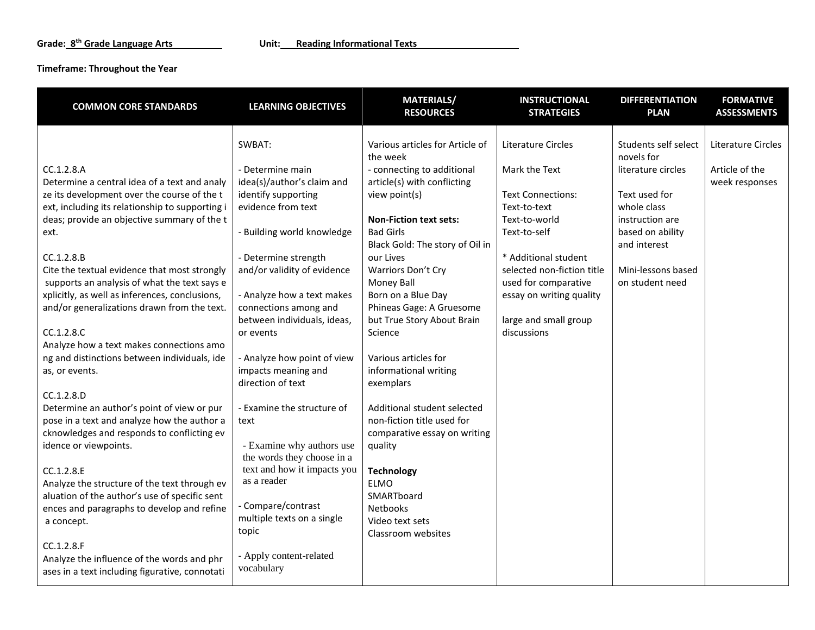#### **Timeframe: Throughout the Year**

| <b>COMMON CORE STANDARDS</b>                                                                               | <b>LEARNING OBJECTIVES</b>                              | <b>MATERIALS/</b><br><b>RESOURCES</b>               | <b>INSTRUCTIONAL</b><br><b>STRATEGIES</b>          | <b>DIFFERENTIATION</b><br><b>PLAN</b> | <b>FORMATIVE</b><br><b>ASSESSMENTS</b> |
|------------------------------------------------------------------------------------------------------------|---------------------------------------------------------|-----------------------------------------------------|----------------------------------------------------|---------------------------------------|----------------------------------------|
|                                                                                                            | SWBAT:                                                  | Various articles for Article of<br>the week         | Literature Circles                                 | Students self select<br>novels for    | Literature Circles                     |
| CC.1.2.8.A                                                                                                 | - Determine main                                        | - connecting to additional                          | Mark the Text                                      | literature circles                    | Article of the                         |
| Determine a central idea of a text and analy<br>ze its development over the course of the t                | idea(s)/author's claim and<br>identify supporting       | article(s) with conflicting<br>view point(s)        | <b>Text Connections:</b>                           | Text used for                         | week responses                         |
| ext, including its relationship to supporting i<br>deas; provide an objective summary of the t             | evidence from text                                      | <b>Non-Fiction text sets:</b>                       | Text-to-text<br>Text-to-world                      | whole class<br>instruction are        |                                        |
| ext.                                                                                                       | - Building world knowledge                              | <b>Bad Girls</b><br>Black Gold: The story of Oil in | Text-to-self                                       | based on ability<br>and interest      |                                        |
| CC.1.2.8.B                                                                                                 | - Determine strength                                    | our Lives                                           | * Additional student                               |                                       |                                        |
| Cite the textual evidence that most strongly<br>supports an analysis of what the text says e               | and/or validity of evidence                             | Warriors Don't Cry<br>Money Ball                    | selected non-fiction title<br>used for comparative | Mini-lessons based<br>on student need |                                        |
| xplicitly, as well as inferences, conclusions,<br>and/or generalizations drawn from the text.              | - Analyze how a text makes<br>connections among and     | Born on a Blue Day<br>Phineas Gage: A Gruesome      | essay on writing quality                           |                                       |                                        |
| CC.1.2.8.C                                                                                                 | between individuals, ideas,                             | but True Story About Brain                          | large and small group<br>discussions               |                                       |                                        |
| Analyze how a text makes connections amo                                                                   | or events                                               | Science                                             |                                                    |                                       |                                        |
| ng and distinctions between individuals, ide<br>as, or events.                                             | - Analyze how point of view<br>impacts meaning and      | Various articles for<br>informational writing       |                                                    |                                       |                                        |
|                                                                                                            | direction of text                                       | exemplars                                           |                                                    |                                       |                                        |
| CC.1.2.8.D                                                                                                 |                                                         | Additional student selected                         |                                                    |                                       |                                        |
| Determine an author's point of view or pur<br>pose in a text and analyze how the author a                  | - Examine the structure of<br>text                      | non-fiction title used for                          |                                                    |                                       |                                        |
| cknowledges and responds to conflicting ev                                                                 |                                                         | comparative essay on writing                        |                                                    |                                       |                                        |
| idence or viewpoints.                                                                                      | - Examine why authors use<br>the words they choose in a | quality                                             |                                                    |                                       |                                        |
| CC.1.2.8.E<br>Analyze the structure of the text through ev                                                 | text and how it impacts you<br>as a reader              | <b>Technology</b><br><b>ELMO</b>                    |                                                    |                                       |                                        |
| aluation of the author's use of specific sent                                                              |                                                         | SMARTboard                                          |                                                    |                                       |                                        |
| ences and paragraphs to develop and refine                                                                 | - Compare/contrast<br>multiple texts on a single        | Netbooks<br>Video text sets                         |                                                    |                                       |                                        |
| a concept.                                                                                                 | topic                                                   | Classroom websites                                  |                                                    |                                       |                                        |
| CC.1.2.8.F<br>Analyze the influence of the words and phr<br>ases in a text including figurative, connotati | - Apply content-related<br>vocabulary                   |                                                     |                                                    |                                       |                                        |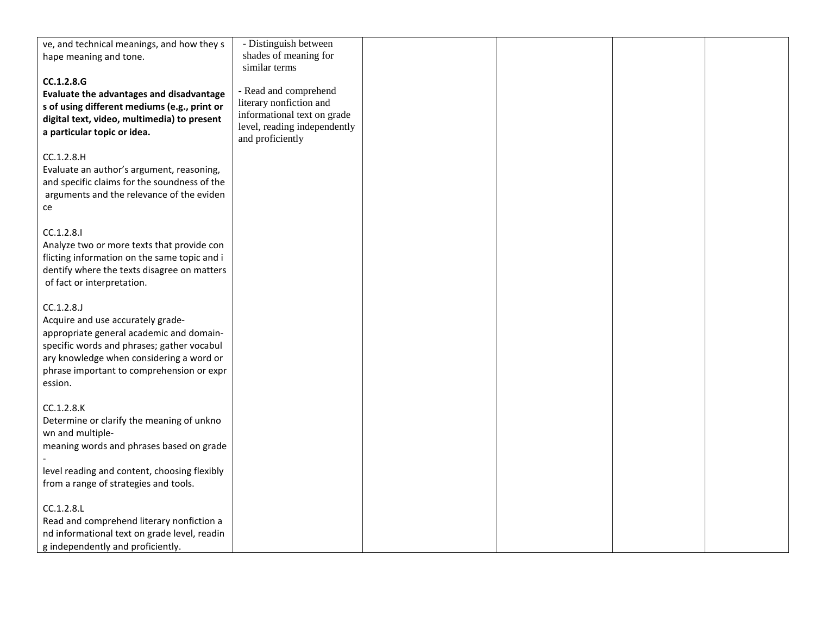| ve, and technical meanings, and how they s   | - Distinguish between        |  |  |
|----------------------------------------------|------------------------------|--|--|
| hape meaning and tone.                       | shades of meaning for        |  |  |
|                                              | similar terms                |  |  |
|                                              |                              |  |  |
| CC.1.2.8.G                                   | - Read and comprehend        |  |  |
| Evaluate the advantages and disadvantage     | literary nonfiction and      |  |  |
| s of using different mediums (e.g., print or | informational text on grade  |  |  |
| digital text, video, multimedia) to present  |                              |  |  |
| a particular topic or idea.                  | level, reading independently |  |  |
|                                              | and proficiently             |  |  |
| CC.1.2.8.H                                   |                              |  |  |
| Evaluate an author's argument, reasoning,    |                              |  |  |
| and specific claims for the soundness of the |                              |  |  |
| arguments and the relevance of the eviden    |                              |  |  |
|                                              |                              |  |  |
| ce                                           |                              |  |  |
|                                              |                              |  |  |
| CC.1.2.8.1                                   |                              |  |  |
| Analyze two or more texts that provide con   |                              |  |  |
| flicting information on the same topic and i |                              |  |  |
| dentify where the texts disagree on matters  |                              |  |  |
| of fact or interpretation.                   |                              |  |  |
|                                              |                              |  |  |
| CC.1.2.8.                                    |                              |  |  |
| Acquire and use accurately grade-            |                              |  |  |
| appropriate general academic and domain-     |                              |  |  |
| specific words and phrases; gather vocabul   |                              |  |  |
| ary knowledge when considering a word or     |                              |  |  |
|                                              |                              |  |  |
| phrase important to comprehension or expr    |                              |  |  |
| ession.                                      |                              |  |  |
|                                              |                              |  |  |
| CC.1.2.8.K                                   |                              |  |  |
| Determine or clarify the meaning of unkno    |                              |  |  |
| wn and multiple-                             |                              |  |  |
| meaning words and phrases based on grade     |                              |  |  |
|                                              |                              |  |  |
| level reading and content, choosing flexibly |                              |  |  |
| from a range of strategies and tools.        |                              |  |  |
|                                              |                              |  |  |
| CC.1.2.8.L                                   |                              |  |  |
| Read and comprehend literary nonfiction a    |                              |  |  |
| nd informational text on grade level, readin |                              |  |  |
| g independently and proficiently.            |                              |  |  |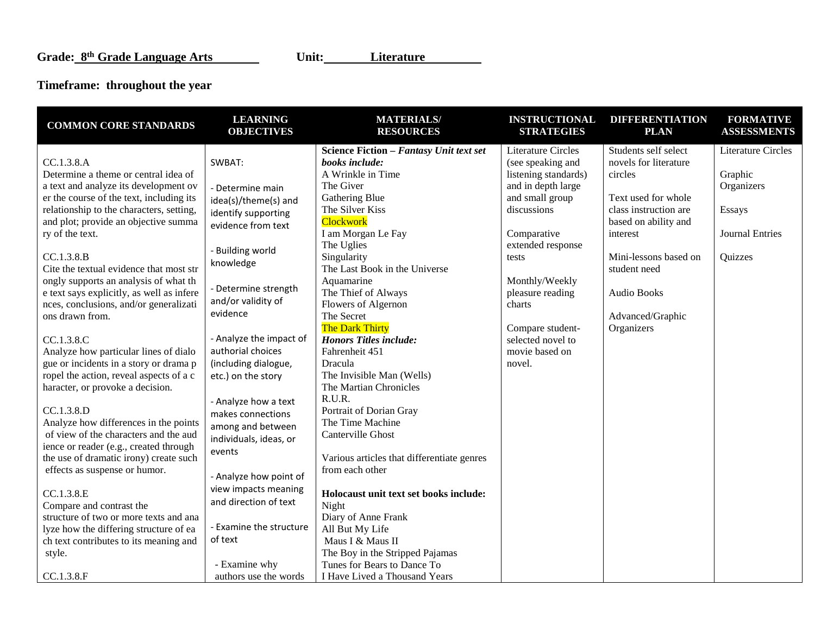# **Timeframe: throughout the year**

| <b>COMMON CORE STANDARDS</b>              | <b>LEARNING</b><br><b>OBJECTIVES</b>      | <b>MATERIALS/</b><br><b>RESOURCES</b>                     | <b>INSTRUCTIONAL</b><br><b>STRATEGIES</b>      | <b>DIFFERENTIATION</b><br><b>PLAN</b>         | <b>FORMATIVE</b><br><b>ASSESSMENTS</b> |
|-------------------------------------------|-------------------------------------------|-----------------------------------------------------------|------------------------------------------------|-----------------------------------------------|----------------------------------------|
| CC.1.3.8.A                                | SWBAT:                                    | Science Fiction - Fantasy Unit text set<br>books include: | <b>Literature Circles</b><br>(see speaking and | Students self select<br>novels for literature | <b>Literature Circles</b>              |
| Determine a theme or central idea of      |                                           | A Wrinkle in Time                                         | listening standards)                           | circles                                       | Graphic                                |
| a text and analyze its development ov     |                                           | The Giver                                                 | and in depth large                             |                                               | Organizers                             |
| er the course of the text, including its  | - Determine main                          | Gathering Blue                                            | and small group                                | Text used for whole                           |                                        |
| relationship to the characters, setting,  | idea(s)/theme(s) and                      | The Silver Kiss                                           | discussions                                    | class instruction are                         | Essays                                 |
| and plot; provide an objective summa      | identify supporting<br>evidence from text | <b>Clockwork</b>                                          |                                                | based on ability and                          |                                        |
| ry of the text.                           |                                           | I am Morgan Le Fay                                        | Comparative                                    | interest                                      | <b>Journal Entries</b>                 |
|                                           |                                           | The Uglies                                                | extended response                              |                                               |                                        |
| CC.1.3.8.B                                | - Building world                          | Singularity                                               | tests                                          | Mini-lessons based on                         | Quizzes                                |
| Cite the textual evidence that most str   | knowledge                                 | The Last Book in the Universe                             |                                                | student need                                  |                                        |
| ongly supports an analysis of what th     |                                           | Aquamarine                                                | Monthly/Weekly                                 |                                               |                                        |
| e text says explicitly, as well as infere | - Determine strength                      | The Thief of Always                                       | pleasure reading                               | <b>Audio Books</b>                            |                                        |
| nces, conclusions, and/or generalizati    | and/or validity of                        | Flowers of Algernon                                       | charts                                         |                                               |                                        |
| ons drawn from.                           | evidence                                  | The Secret                                                |                                                | Advanced/Graphic                              |                                        |
|                                           |                                           | The Dark Thirty                                           | Compare student-                               | Organizers                                    |                                        |
| CC.1.3.8.C                                | - Analyze the impact of                   | <b>Honors Titles include:</b>                             | selected novel to                              |                                               |                                        |
| Analyze how particular lines of dialo     | authorial choices                         | Fahrenheit 451                                            | movie based on                                 |                                               |                                        |
| gue or incidents in a story or drama p    | (including dialogue,                      | Dracula                                                   | novel.                                         |                                               |                                        |
| ropel the action, reveal aspects of a c   | etc.) on the story                        | The Invisible Man (Wells)                                 |                                                |                                               |                                        |
| haracter, or provoke a decision.          |                                           | The Martian Chronicles                                    |                                                |                                               |                                        |
|                                           | - Analyze how a text                      | R.U.R.                                                    |                                                |                                               |                                        |
| CC.1.3.8.D                                | makes connections                         | Portrait of Dorian Gray                                   |                                                |                                               |                                        |
| Analyze how differences in the points     | among and between                         | The Time Machine                                          |                                                |                                               |                                        |
| of view of the characters and the aud     | individuals, ideas, or                    | Canterville Ghost                                         |                                                |                                               |                                        |
| ience or reader (e.g., created through    | events                                    |                                                           |                                                |                                               |                                        |
| the use of dramatic irony) create such    |                                           | Various articles that differentiate genres                |                                                |                                               |                                        |
| effects as suspense or humor.             | - Analyze how point of                    | from each other                                           |                                                |                                               |                                        |
| CC.1.3.8.E                                | view impacts meaning                      | Holocaust unit text set books include:                    |                                                |                                               |                                        |
| Compare and contrast the                  | and direction of text                     | Night                                                     |                                                |                                               |                                        |
| structure of two or more texts and ana    |                                           | Diary of Anne Frank                                       |                                                |                                               |                                        |
| lyze how the differing structure of ea    | - Examine the structure                   | All But My Life                                           |                                                |                                               |                                        |
| ch text contributes to its meaning and    | of text                                   | Maus I & Maus II                                          |                                                |                                               |                                        |
| style.                                    |                                           | The Boy in the Stripped Pajamas                           |                                                |                                               |                                        |
|                                           | - Examine why                             | Tunes for Bears to Dance To                               |                                                |                                               |                                        |
| CC.1.3.8.F                                | authors use the words                     | I Have Lived a Thousand Years                             |                                                |                                               |                                        |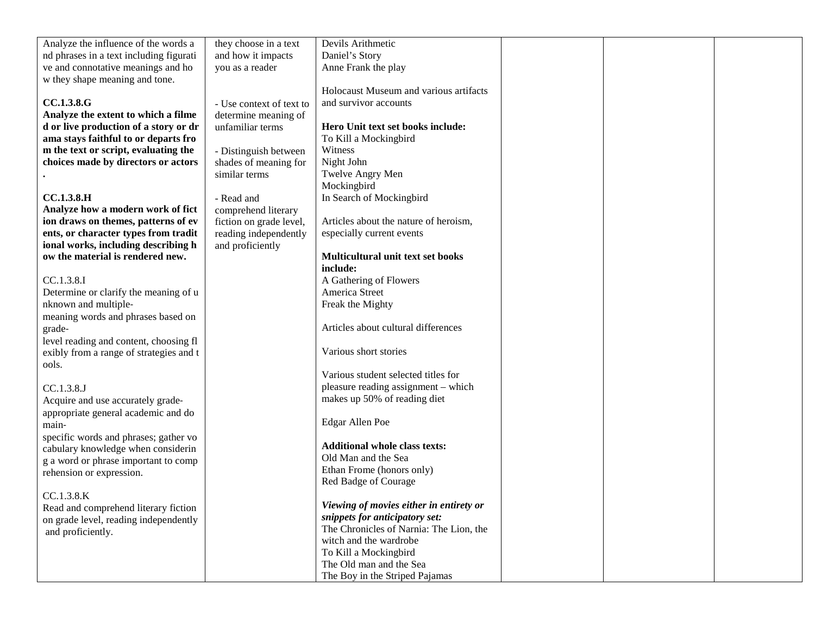| Analyze the influence of the words a    | they choose in a text    | Devils Arithmetic                       |  |  |
|-----------------------------------------|--------------------------|-----------------------------------------|--|--|
| nd phrases in a text including figurati | and how it impacts       | Daniel's Story                          |  |  |
| ve and connotative meanings and ho      | you as a reader          | Anne Frank the play                     |  |  |
| w they shape meaning and tone.          |                          |                                         |  |  |
|                                         |                          | Holocaust Museum and various artifacts  |  |  |
| <b>CC.1.3.8.G</b>                       | - Use context of text to | and survivor accounts                   |  |  |
| Analyze the extent to which a filme     | determine meaning of     |                                         |  |  |
| d or live production of a story or dr   | unfamiliar terms         | Hero Unit text set books include:       |  |  |
| ama stays faithful to or departs fro    |                          | To Kill a Mockingbird                   |  |  |
| m the text or script, evaluating the    | - Distinguish between    | Witness                                 |  |  |
| choices made by directors or actors     | shades of meaning for    | Night John                              |  |  |
|                                         | similar terms            | Twelve Angry Men                        |  |  |
|                                         |                          | Mockingbird                             |  |  |
| <b>CC.1.3.8.H</b>                       |                          | In Search of Mockingbird                |  |  |
|                                         | - Read and               |                                         |  |  |
| Analyze how a modern work of fict       | comprehend literary      |                                         |  |  |
| ion draws on themes, patterns of ev     | fiction on grade level,  | Articles about the nature of heroism,   |  |  |
| ents, or character types from tradit    | reading independently    | especially current events               |  |  |
| ional works, including describing h     | and proficiently         |                                         |  |  |
| ow the material is rendered new.        |                          | Multicultural unit text set books       |  |  |
|                                         |                          | include:                                |  |  |
| CC.1.3.8.I                              |                          | A Gathering of Flowers                  |  |  |
| Determine or clarify the meaning of u   |                          | America Street                          |  |  |
| nknown and multiple-                    |                          | Freak the Mighty                        |  |  |
| meaning words and phrases based on      |                          |                                         |  |  |
| grade-                                  |                          | Articles about cultural differences     |  |  |
| level reading and content, choosing fl  |                          |                                         |  |  |
| exibly from a range of strategies and t |                          | Various short stories                   |  |  |
| ools.                                   |                          |                                         |  |  |
|                                         |                          | Various student selected titles for     |  |  |
| CC.1.3.8.J                              |                          | pleasure reading assignment - which     |  |  |
| Acquire and use accurately grade-       |                          | makes up 50% of reading diet            |  |  |
| appropriate general academic and do     |                          |                                         |  |  |
| main-                                   |                          | Edgar Allen Poe                         |  |  |
| specific words and phrases; gather vo   |                          |                                         |  |  |
| cabulary knowledge when considerin      |                          | <b>Additional whole class texts:</b>    |  |  |
| g a word or phrase important to comp    |                          | Old Man and the Sea                     |  |  |
| rehension or expression.                |                          | Ethan Frome (honors only)               |  |  |
|                                         |                          | Red Badge of Courage                    |  |  |
| CC.1.3.8.K                              |                          |                                         |  |  |
| Read and comprehend literary fiction    |                          | Viewing of movies either in entirety or |  |  |
|                                         |                          | snippets for anticipatory set:          |  |  |
| on grade level, reading independently   |                          | The Chronicles of Narnia: The Lion, the |  |  |
| and proficiently.                       |                          | witch and the wardrobe                  |  |  |
|                                         |                          | To Kill a Mockingbird                   |  |  |
|                                         |                          | The Old man and the Sea                 |  |  |
|                                         |                          | The Boy in the Striped Pajamas          |  |  |
|                                         |                          |                                         |  |  |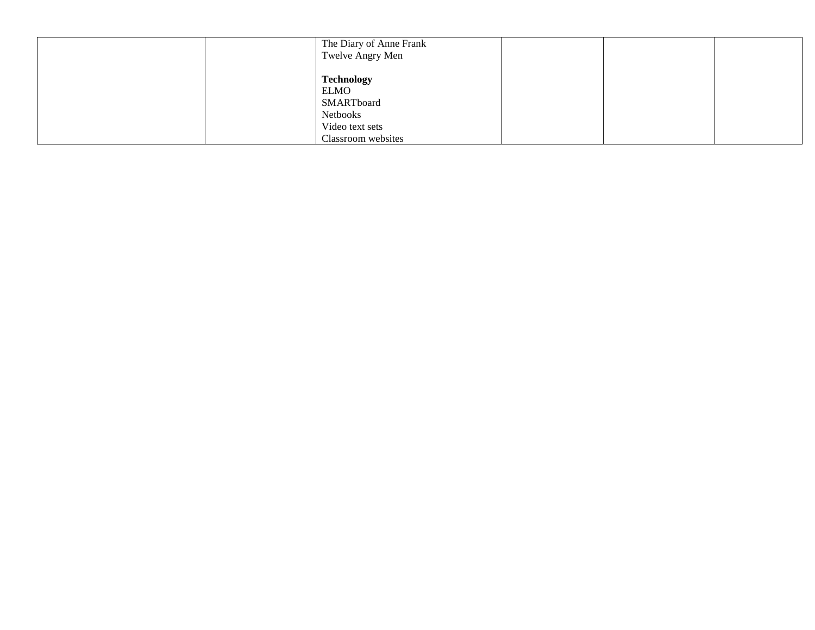| The Diary of Anne Frank<br>Twelve Angry Men                                                         |  |  |
|-----------------------------------------------------------------------------------------------------|--|--|
| <b>Technology</b><br><b>ELMO</b><br>SMARTboard<br>Netbooks<br>Video text sets<br>Classroom websites |  |  |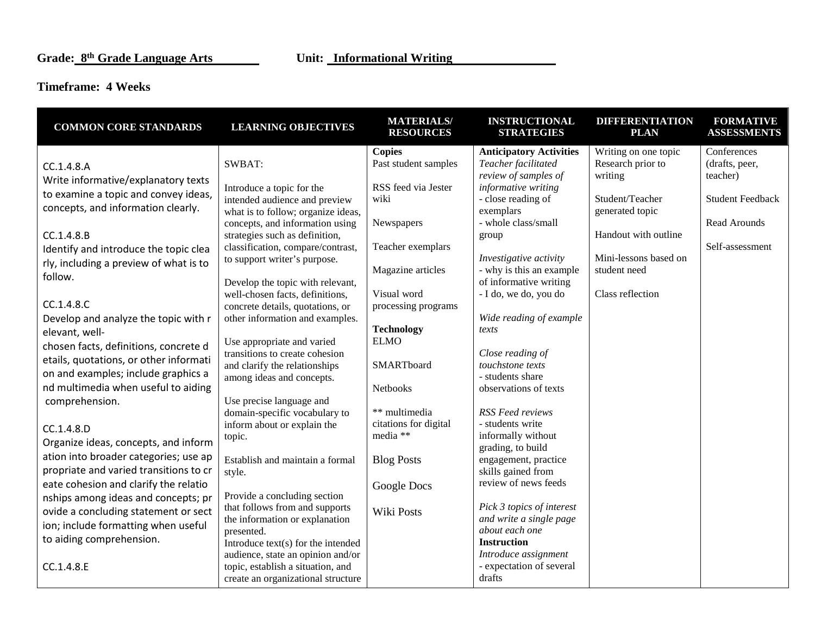### **Timeframe: 4 Weeks**

| <b>COMMON CORE STANDARDS</b>           | <b>LEARNING OBJECTIVES</b>                                          | <b>MATERIALS/</b><br><b>RESOURCES</b> | <b>INSTRUCTIONAL</b><br><b>STRATEGIES</b>  | <b>DIFFERENTIATION</b><br><b>PLAN</b> | <b>FORMATIVE</b><br><b>ASSESSMENTS</b> |
|----------------------------------------|---------------------------------------------------------------------|---------------------------------------|--------------------------------------------|---------------------------------------|----------------------------------------|
|                                        |                                                                     | <b>Copies</b>                         | <b>Anticipatory Activities</b>             | Writing on one topic                  | Conferences                            |
| CC.1.4.8.A                             | SWBAT:                                                              | Past student samples                  | Teacher facilitated                        | Research prior to                     | (drafts, peer,                         |
| Write informative/explanatory texts    |                                                                     |                                       | review of samples of                       | writing                               | teacher)                               |
| to examine a topic and convey ideas,   | Introduce a topic for the                                           | RSS feed via Jester                   | informative writing                        | Student/Teacher                       |                                        |
| concepts, and information clearly.     | intended audience and preview<br>what is to follow; organize ideas, | wiki                                  | - close reading of<br>exemplars            | generated topic                       | <b>Student Feedback</b>                |
|                                        | concepts, and information using                                     | Newspapers                            | - whole class/small                        |                                       | Read Arounds                           |
| CC.1.4.8.B                             | strategies such as definition,                                      |                                       | group                                      | Handout with outline                  |                                        |
| Identify and introduce the topic clea  | classification, compare/contrast,                                   | Teacher exemplars                     |                                            |                                       | Self-assessment                        |
| rly, including a preview of what is to | to support writer's purpose.                                        |                                       | Investigative activity                     | Mini-lessons based on                 |                                        |
| follow.                                |                                                                     | Magazine articles                     | - why is this an example                   | student need                          |                                        |
|                                        | Develop the topic with relevant,                                    |                                       | of informative writing                     |                                       |                                        |
| CC.1.4.8.C                             | well-chosen facts, definitions,<br>concrete details, quotations, or | Visual word<br>processing programs    | - I do, we do, you do                      | Class reflection                      |                                        |
| Develop and analyze the topic with r   | other information and examples.                                     |                                       | Wide reading of example                    |                                       |                                        |
| elevant, well-                         |                                                                     | <b>Technology</b>                     | texts                                      |                                       |                                        |
| chosen facts, definitions, concrete d  | Use appropriate and varied                                          | <b>ELMO</b>                           |                                            |                                       |                                        |
| etails, quotations, or other informati | transitions to create cohesion                                      |                                       | Close reading of                           |                                       |                                        |
| on and examples; include graphics a    | and clarify the relationships                                       | SMARTboard                            | touchstone texts                           |                                       |                                        |
| nd multimedia when useful to aiding    | among ideas and concepts.                                           |                                       | - students share                           |                                       |                                        |
|                                        | Use precise language and                                            | <b>Netbooks</b>                       | observations of texts                      |                                       |                                        |
| comprehension.                         | domain-specific vocabulary to                                       | ** multimedia                         | <b>RSS Feed reviews</b>                    |                                       |                                        |
|                                        | inform about or explain the                                         | citations for digital                 | - students write                           |                                       |                                        |
| CC.1.4.8.D                             | topic.                                                              | media **                              | informally without                         |                                       |                                        |
| Organize ideas, concepts, and inform   |                                                                     |                                       | grading, to build                          |                                       |                                        |
| ation into broader categories; use ap  | Establish and maintain a formal                                     | <b>Blog Posts</b>                     | engagement, practice                       |                                       |                                        |
| propriate and varied transitions to cr | style.                                                              |                                       | skills gained from<br>review of news feeds |                                       |                                        |
| eate cohesion and clarify the relatio  | Provide a concluding section                                        | Google Docs                           |                                            |                                       |                                        |
| nships among ideas and concepts; pr    | that follows from and supports                                      |                                       | Pick 3 topics of interest                  |                                       |                                        |
| ovide a concluding statement or sect   | the information or explanation                                      | Wiki Posts                            | and write a single page                    |                                       |                                        |
| ion; include formatting when useful    | presented.                                                          |                                       | about each one                             |                                       |                                        |
| to aiding comprehension.               | Introduce text(s) for the intended                                  |                                       | <b>Instruction</b>                         |                                       |                                        |
|                                        | audience, state an opinion and/or                                   |                                       | Introduce assignment                       |                                       |                                        |
| CC.1.4.8.E                             | topic, establish a situation, and                                   |                                       | - expectation of several<br>drafts         |                                       |                                        |
|                                        | create an organizational structure                                  |                                       |                                            |                                       |                                        |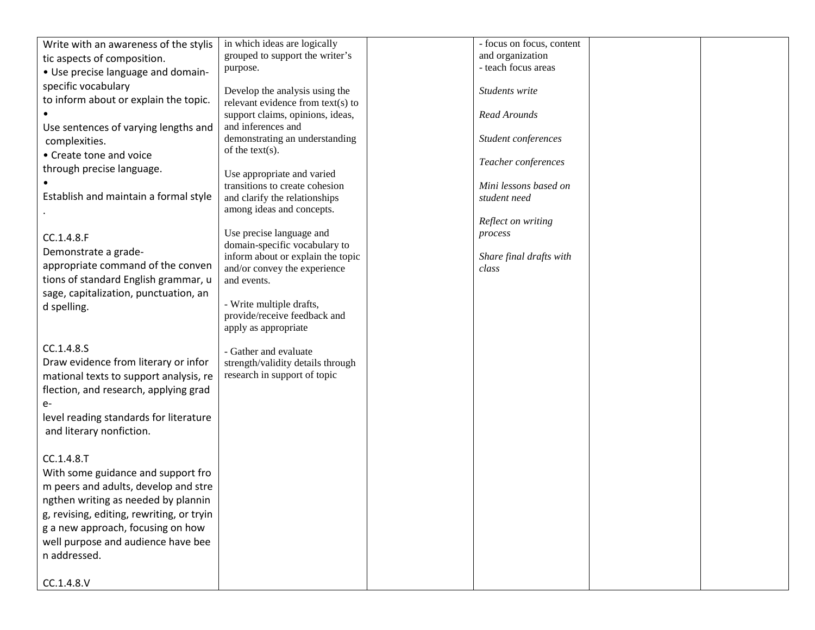| Write with an awareness of the stylis     | in which ideas are logically                             | - focus on focus, content |  |
|-------------------------------------------|----------------------------------------------------------|---------------------------|--|
| tic aspects of composition.               | grouped to support the writer's                          | and organization          |  |
| • Use precise language and domain-        | purpose.                                                 | - teach focus areas       |  |
| specific vocabulary                       |                                                          |                           |  |
| to inform about or explain the topic.     | Develop the analysis using the                           | Students write            |  |
|                                           | relevant evidence from text(s) to                        |                           |  |
|                                           | support claims, opinions, ideas,<br>and inferences and   | Read Arounds              |  |
| Use sentences of varying lengths and      | demonstrating an understanding                           | Student conferences       |  |
| complexities.                             | of the text $(s)$ .                                      |                           |  |
| • Create tone and voice                   |                                                          | Teacher conferences       |  |
| through precise language.                 | Use appropriate and varied                               |                           |  |
|                                           | transitions to create cohesion                           | Mini lessons based on     |  |
| Establish and maintain a formal style     | and clarify the relationships                            | student need              |  |
|                                           | among ideas and concepts.                                |                           |  |
|                                           |                                                          | Reflect on writing        |  |
| CC.1.4.8.F                                | Use precise language and                                 | process                   |  |
| Demonstrate a grade-                      | domain-specific vocabulary to                            |                           |  |
|                                           | inform about or explain the topic                        | Share final drafts with   |  |
| appropriate command of the conven         | and/or convey the experience                             | class                     |  |
| tions of standard English grammar, u      | and events.                                              |                           |  |
| sage, capitalization, punctuation, an     |                                                          |                           |  |
| d spelling.                               | - Write multiple drafts,<br>provide/receive feedback and |                           |  |
|                                           | apply as appropriate                                     |                           |  |
|                                           |                                                          |                           |  |
| CC.1.4.8.S                                | - Gather and evaluate                                    |                           |  |
| Draw evidence from literary or infor      | strength/validity details through                        |                           |  |
| mational texts to support analysis, re    | research in support of topic                             |                           |  |
| flection, and research, applying grad     |                                                          |                           |  |
| $e-$                                      |                                                          |                           |  |
|                                           |                                                          |                           |  |
| level reading standards for literature    |                                                          |                           |  |
| and literary nonfiction.                  |                                                          |                           |  |
|                                           |                                                          |                           |  |
| CC.1.4.8.T                                |                                                          |                           |  |
| With some guidance and support fro        |                                                          |                           |  |
| m peers and adults, develop and stre      |                                                          |                           |  |
| ngthen writing as needed by plannin       |                                                          |                           |  |
| g, revising, editing, rewriting, or tryin |                                                          |                           |  |
| g a new approach, focusing on how         |                                                          |                           |  |
| well purpose and audience have bee        |                                                          |                           |  |
| n addressed.                              |                                                          |                           |  |
|                                           |                                                          |                           |  |
| CC.1.4.8.V                                |                                                          |                           |  |
|                                           |                                                          |                           |  |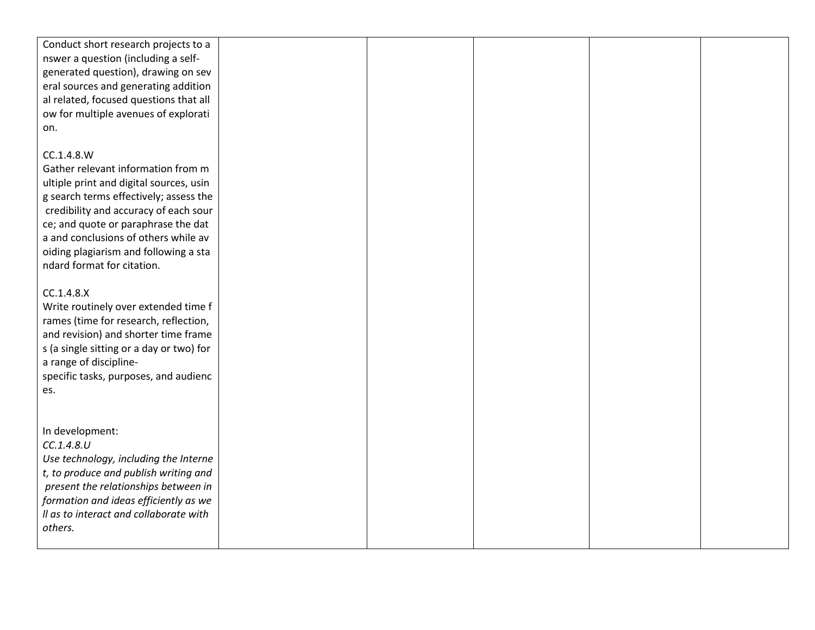| Conduct short research projects to a<br>nswer a question (including a self-<br>generated question), drawing on sev |  |  |  |
|--------------------------------------------------------------------------------------------------------------------|--|--|--|
|                                                                                                                    |  |  |  |
|                                                                                                                    |  |  |  |
|                                                                                                                    |  |  |  |
| eral sources and generating addition                                                                               |  |  |  |
| al related, focused questions that all                                                                             |  |  |  |
| ow for multiple avenues of explorati                                                                               |  |  |  |
| on.                                                                                                                |  |  |  |
|                                                                                                                    |  |  |  |
| CC.1.4.8.W                                                                                                         |  |  |  |
| Gather relevant information from m                                                                                 |  |  |  |
| ultiple print and digital sources, usin                                                                            |  |  |  |
| g search terms effectively; assess the                                                                             |  |  |  |
| credibility and accuracy of each sour                                                                              |  |  |  |
| ce; and quote or paraphrase the dat                                                                                |  |  |  |
| a and conclusions of others while av                                                                               |  |  |  |
| oiding plagiarism and following a sta                                                                              |  |  |  |
| ndard format for citation.                                                                                         |  |  |  |
|                                                                                                                    |  |  |  |
| CC.1.4.8.X                                                                                                         |  |  |  |
| Write routinely over extended time f                                                                               |  |  |  |
| rames (time for research, reflection,                                                                              |  |  |  |
| and revision) and shorter time frame                                                                               |  |  |  |
| s (a single sitting or a day or two) for                                                                           |  |  |  |
| a range of discipline-                                                                                             |  |  |  |
| specific tasks, purposes, and audienc                                                                              |  |  |  |
| es.                                                                                                                |  |  |  |
|                                                                                                                    |  |  |  |
|                                                                                                                    |  |  |  |
| In development:                                                                                                    |  |  |  |
| CC.1.4.8.U                                                                                                         |  |  |  |
| Use technology, including the Interne                                                                              |  |  |  |
| t, to produce and publish writing and                                                                              |  |  |  |
| present the relationships between in                                                                               |  |  |  |
| formation and ideas efficiently as we                                                                              |  |  |  |
| Il as to interact and collaborate with                                                                             |  |  |  |
| others.                                                                                                            |  |  |  |
|                                                                                                                    |  |  |  |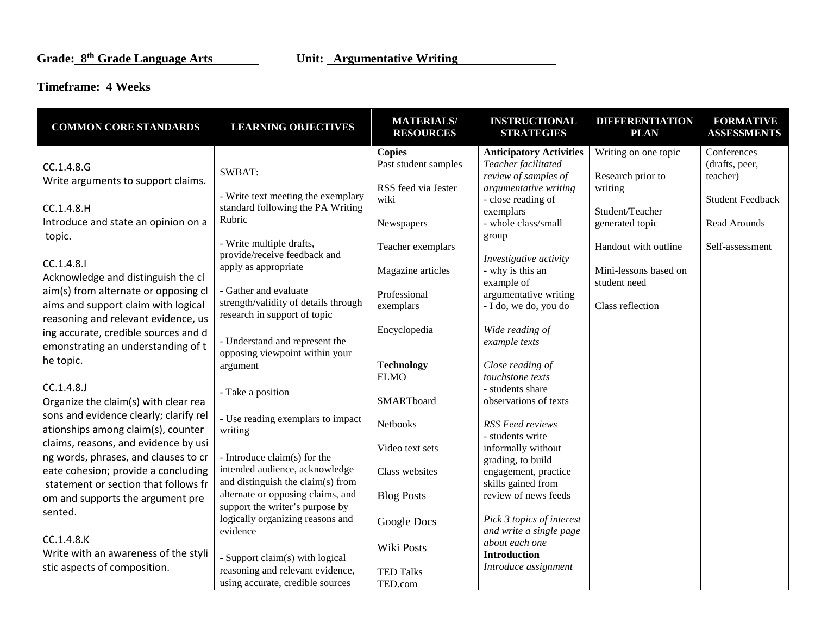### **Timeframe: 4 Weeks**

| <b>COMMON CORE STANDARDS</b>           | <b>LEARNING OBJECTIVES</b>                                    | <b>MATERIALS/</b><br><b>RESOURCES</b> | <b>INSTRUCTIONAL</b><br><b>STRATEGIES</b> | <b>DIFFERENTIATION</b><br><b>PLAN</b> | <b>FORMATIVE</b><br><b>ASSESSMENTS</b> |
|----------------------------------------|---------------------------------------------------------------|---------------------------------------|-------------------------------------------|---------------------------------------|----------------------------------------|
|                                        |                                                               | <b>Copies</b>                         | <b>Anticipatory Activities</b>            | Writing on one topic                  | Conferences                            |
| CC.1.4.8.G                             |                                                               | Past student samples                  | Teacher facilitated                       |                                       | (drafts, peer,                         |
| Write arguments to support claims.     | SWBAT:                                                        |                                       | review of samples of                      | Research prior to                     | teacher)                               |
|                                        | - Write text meeting the exemplary                            | RSS feed via Jester                   | argumentative writing                     | writing                               |                                        |
| CC.1.4.8.H                             | standard following the PA Writing                             | wiki                                  | - close reading of                        |                                       | <b>Student Feedback</b>                |
| Introduce and state an opinion on a    | Rubric                                                        |                                       | exemplars<br>- whole class/small          | Student/Teacher<br>generated topic    | Read Arounds                           |
| topic.                                 |                                                               | Newspapers                            | group                                     |                                       |                                        |
|                                        | - Write multiple drafts,                                      | Teacher exemplars                     |                                           | Handout with outline                  | Self-assessment                        |
|                                        | provide/receive feedback and                                  |                                       | Investigative activity                    |                                       |                                        |
| CC.1.4.8.1                             | apply as appropriate                                          | Magazine articles                     | - why is this an                          | Mini-lessons based on                 |                                        |
| Acknowledge and distinguish the cl     |                                                               |                                       | example of                                | student need                          |                                        |
| aim(s) from alternate or opposing cl   | - Gather and evaluate<br>strength/validity of details through | Professional                          | argumentative writing                     |                                       |                                        |
| aims and support claim with logical    | research in support of topic                                  | exemplars                             | - I do, we do, you do                     | Class reflection                      |                                        |
| reasoning and relevant evidence, us    |                                                               |                                       |                                           |                                       |                                        |
| ing accurate, credible sources and d   | - Understand and represent the                                | Encyclopedia                          | Wide reading of<br>example texts          |                                       |                                        |
| emonstrating an understanding of t     | opposing viewpoint within your                                |                                       |                                           |                                       |                                        |
| he topic.                              | argument                                                      | <b>Technology</b>                     | Close reading of                          |                                       |                                        |
|                                        |                                                               | <b>ELMO</b>                           | touchstone texts                          |                                       |                                        |
| CC.1.4.8.                              | - Take a position                                             |                                       | - students share                          |                                       |                                        |
| Organize the claim(s) with clear rea   |                                                               | SMARTboard                            | observations of texts                     |                                       |                                        |
| sons and evidence clearly; clarify rel | - Use reading exemplars to impact                             |                                       |                                           |                                       |                                        |
| ationships among claim(s), counter     | writing                                                       | Netbooks                              | <b>RSS Feed reviews</b>                   |                                       |                                        |
| claims, reasons, and evidence by usi   |                                                               | Video text sets                       | - students write<br>informally without    |                                       |                                        |
| ng words, phrases, and clauses to cr   | - Introduce claim(s) for the                                  |                                       | grading, to build                         |                                       |                                        |
| eate cohesion; provide a concluding    | intended audience, acknowledge                                | Class websites                        | engagement, practice                      |                                       |                                        |
| statement or section that follows fr   | and distinguish the claim(s) from                             |                                       | skills gained from                        |                                       |                                        |
| om and supports the argument pre       | alternate or opposing claims, and                             | <b>Blog Posts</b>                     | review of news feeds                      |                                       |                                        |
| sented.                                | support the writer's purpose by                               |                                       |                                           |                                       |                                        |
|                                        | logically organizing reasons and                              | Google Docs                           | Pick 3 topics of interest                 |                                       |                                        |
| CC.1.4.8.K                             | evidence                                                      |                                       | and write a single page                   |                                       |                                        |
| Write with an awareness of the styli   |                                                               | Wiki Posts                            | about each one<br><b>Introduction</b>     |                                       |                                        |
| stic aspects of composition.           | - Support claim(s) with logical                               |                                       | Introduce assignment                      |                                       |                                        |
|                                        | reasoning and relevant evidence,                              | <b>TED Talks</b>                      |                                           |                                       |                                        |
|                                        | using accurate, credible sources                              | TED.com                               |                                           |                                       |                                        |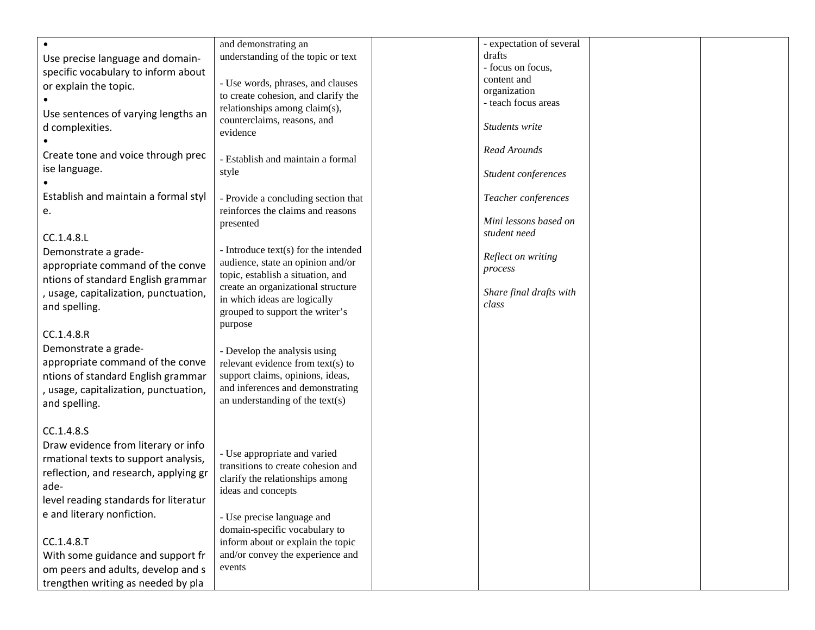|                                       | and demonstrating an                 | - expectation of several |  |
|---------------------------------------|--------------------------------------|--------------------------|--|
| Use precise language and domain-      | understanding of the topic or text   | drafts                   |  |
| specific vocabulary to inform about   |                                      | - focus on focus,        |  |
|                                       | - Use words, phrases, and clauses    | content and              |  |
| or explain the topic.                 | to create cohesion, and clarify the  | organization             |  |
|                                       |                                      | - teach focus areas      |  |
| Use sentences of varying lengths an   | relationships among claim(s),        |                          |  |
| d complexities.                       | counterclaims, reasons, and          | Students write           |  |
|                                       | evidence                             |                          |  |
|                                       |                                      | Read Arounds             |  |
| Create tone and voice through prec    | - Establish and maintain a formal    |                          |  |
| ise language.                         | style                                | Student conferences      |  |
|                                       |                                      |                          |  |
| Establish and maintain a formal styl  | - Provide a concluding section that  | Teacher conferences      |  |
|                                       | reinforces the claims and reasons    |                          |  |
| e.                                    |                                      | Mini lessons based on    |  |
|                                       | presented                            | student need             |  |
| CC.1.4.8.L                            |                                      |                          |  |
| Demonstrate a grade-                  | - Introduce text(s) for the intended |                          |  |
| appropriate command of the conve      | audience, state an opinion and/or    | Reflect on writing       |  |
|                                       | topic, establish a situation, and    | process                  |  |
| ntions of standard English grammar    | create an organizational structure   |                          |  |
| , usage, capitalization, punctuation, | in which ideas are logically         | Share final drafts with  |  |
| and spelling.                         | grouped to support the writer's      | class                    |  |
|                                       | purpose                              |                          |  |
| CC.1.4.8.R                            |                                      |                          |  |
|                                       |                                      |                          |  |
| Demonstrate a grade-                  | - Develop the analysis using         |                          |  |
| appropriate command of the conve      | relevant evidence from text(s) to    |                          |  |
| ntions of standard English grammar    | support claims, opinions, ideas,     |                          |  |
| , usage, capitalization, punctuation, | and inferences and demonstrating     |                          |  |
| and spelling.                         | an understanding of the text $(s)$   |                          |  |
|                                       |                                      |                          |  |
|                                       |                                      |                          |  |
| CC.1.4.8.S                            |                                      |                          |  |
| Draw evidence from literary or info   |                                      |                          |  |
| rmational texts to support analysis,  | - Use appropriate and varied         |                          |  |
| reflection, and research, applying gr | transitions to create cohesion and   |                          |  |
|                                       | clarify the relationships among      |                          |  |
| ade-                                  | ideas and concepts                   |                          |  |
| level reading standards for literatur |                                      |                          |  |
| e and literary nonfiction.            | - Use precise language and           |                          |  |
|                                       | domain-specific vocabulary to        |                          |  |
| CC.1.4.8.T                            | inform about or explain the topic    |                          |  |
|                                       |                                      |                          |  |
| With some guidance and support fr     | and/or convey the experience and     |                          |  |
| om peers and adults, develop and s    | events                               |                          |  |
| trengthen writing as needed by pla    |                                      |                          |  |
|                                       |                                      |                          |  |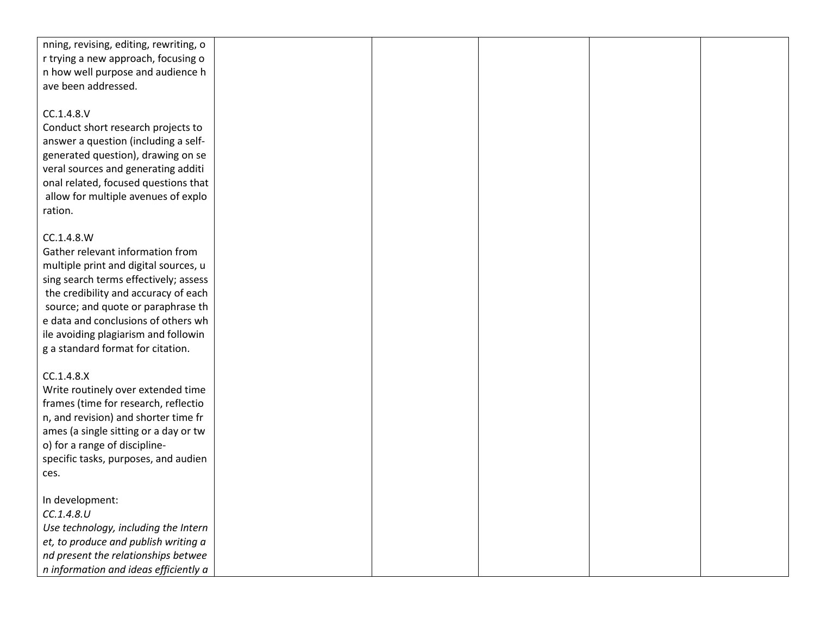| nning, revising, editing, rewriting, o |  |  |  |
|----------------------------------------|--|--|--|
| r trying a new approach, focusing o    |  |  |  |
| n how well purpose and audience h      |  |  |  |
| ave been addressed.                    |  |  |  |
|                                        |  |  |  |
| CC.1.4.8.V                             |  |  |  |
| Conduct short research projects to     |  |  |  |
| answer a question (including a self-   |  |  |  |
| generated question), drawing on se     |  |  |  |
| veral sources and generating additi    |  |  |  |
| onal related, focused questions that   |  |  |  |
| allow for multiple avenues of explo    |  |  |  |
| ration.                                |  |  |  |
|                                        |  |  |  |
| CC.1.4.8.W                             |  |  |  |
| Gather relevant information from       |  |  |  |
| multiple print and digital sources, u  |  |  |  |
| sing search terms effectively; assess  |  |  |  |
| the credibility and accuracy of each   |  |  |  |
| source; and quote or paraphrase th     |  |  |  |
| e data and conclusions of others wh    |  |  |  |
| ile avoiding plagiarism and followin   |  |  |  |
| g a standard format for citation.      |  |  |  |
|                                        |  |  |  |
| CC.1.4.8.X                             |  |  |  |
| Write routinely over extended time     |  |  |  |
| frames (time for research, reflectio   |  |  |  |
| n, and revision) and shorter time fr   |  |  |  |
| ames (a single sitting or a day or tw  |  |  |  |
| o) for a range of discipline-          |  |  |  |
| specific tasks, purposes, and audien   |  |  |  |
| ces.                                   |  |  |  |
|                                        |  |  |  |
| In development:<br>CC.1.4.8.U          |  |  |  |
|                                        |  |  |  |
| Use technology, including the Intern   |  |  |  |
| et, to produce and publish writing a   |  |  |  |
| nd present the relationships betwee    |  |  |  |
| n information and ideas efficiently a  |  |  |  |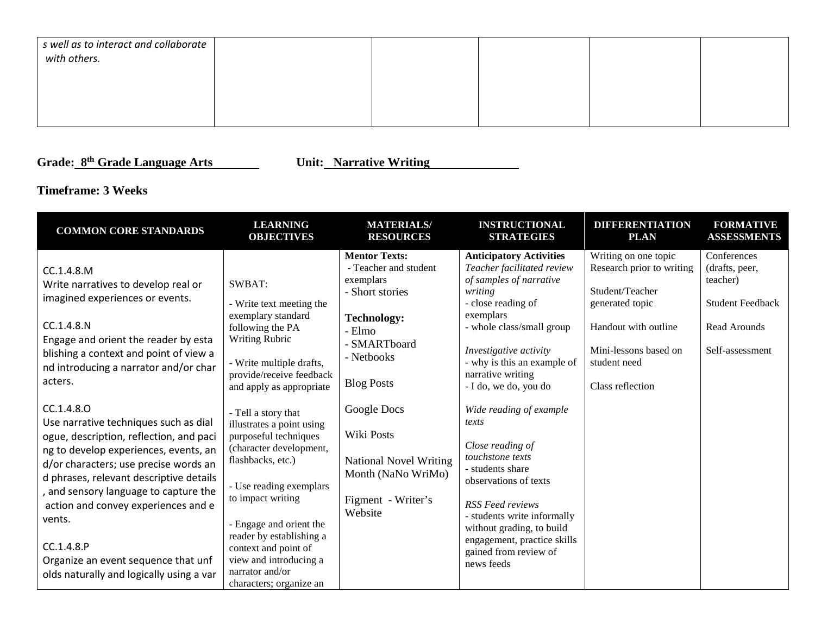| s well as to interact and collaborate<br>with others. |  |  |  |
|-------------------------------------------------------|--|--|--|
|                                                       |  |  |  |
|                                                       |  |  |  |

**Grade: 8th Grade Language Arts Unit: Narrative Writing** 

## **Timeframe: 3 Weeks**

| <b>COMMON CORE STANDARDS</b>                                                                                                                                                                                                                                                                                                                                                                                         | <b>LEARNING</b><br><b>OBJECTIVES</b>                                                                                                                                                                                                                                                                                             | <b>MATERIALS/</b><br><b>RESOURCES</b>                                                                                                                            | <b>INSTRUCTIONAL</b><br><b>STRATEGIES</b>                                                                                                                                                                                                                                          | <b>DIFFERENTIATION</b><br><b>PLAN</b>                                                                                                                                        | <b>FORMATIVE</b><br><b>ASSESSMENTS</b>                                                                  |
|----------------------------------------------------------------------------------------------------------------------------------------------------------------------------------------------------------------------------------------------------------------------------------------------------------------------------------------------------------------------------------------------------------------------|----------------------------------------------------------------------------------------------------------------------------------------------------------------------------------------------------------------------------------------------------------------------------------------------------------------------------------|------------------------------------------------------------------------------------------------------------------------------------------------------------------|------------------------------------------------------------------------------------------------------------------------------------------------------------------------------------------------------------------------------------------------------------------------------------|------------------------------------------------------------------------------------------------------------------------------------------------------------------------------|---------------------------------------------------------------------------------------------------------|
| CC.1.4.8.M<br>Write narratives to develop real or<br>imagined experiences or events.<br>CC.1.4.8.N<br>Engage and orient the reader by esta<br>blishing a context and point of view a<br>nd introducing a narrator and/or char<br>acters.                                                                                                                                                                             | SWBAT:<br>- Write text meeting the<br>exemplary standard<br>following the PA<br><b>Writing Rubric</b><br>- Write multiple drafts,<br>provide/receive feedback<br>and apply as appropriate                                                                                                                                        | <b>Mentor Texts:</b><br>- Teacher and student<br>exemplars<br>- Short stories<br><b>Technology:</b><br>- Elmo<br>- SMARTboard<br>- Netbooks<br><b>Blog Posts</b> | <b>Anticipatory Activities</b><br>Teacher facilitated review<br>of samples of narrative<br>writing<br>- close reading of<br>exemplars<br>- whole class/small group<br>Investigative activity<br>- why is this an example of<br>narrative writing<br>- I do, we do, you do          | Writing on one topic<br>Research prior to writing<br>Student/Teacher<br>generated topic<br>Handout with outline<br>Mini-lessons based on<br>student need<br>Class reflection | Conferences<br>(drafts, peer,<br>teacher)<br><b>Student Feedback</b><br>Read Arounds<br>Self-assessment |
| CC.1.4.8.0<br>Use narrative techniques such as dial<br>ogue, description, reflection, and paci<br>ng to develop experiences, events, an<br>d/or characters; use precise words an<br>d phrases, relevant descriptive details<br>and sensory language to capture the<br>action and convey experiences and e<br>vents.<br>CC.1.4.8.P<br>Organize an event sequence that unf<br>olds naturally and logically using a var | - Tell a story that<br>illustrates a point using<br>purposeful techniques<br>(character development,<br>flashbacks, etc.)<br>- Use reading exemplars<br>to impact writing<br>- Engage and orient the<br>reader by establishing a<br>context and point of<br>view and introducing a<br>narrator and/or<br>characters; organize an | Google Docs<br>Wiki Posts<br><b>National Novel Writing</b><br>Month (NaNo WriMo)<br>Figment - Writer's<br>Website                                                | Wide reading of example<br>texts<br>Close reading of<br>touchstone texts<br>- students share<br>observations of texts<br><b>RSS</b> Feed reviews<br>- students write informally<br>without grading, to build<br>engagement, practice skills<br>gained from review of<br>news feeds |                                                                                                                                                                              |                                                                                                         |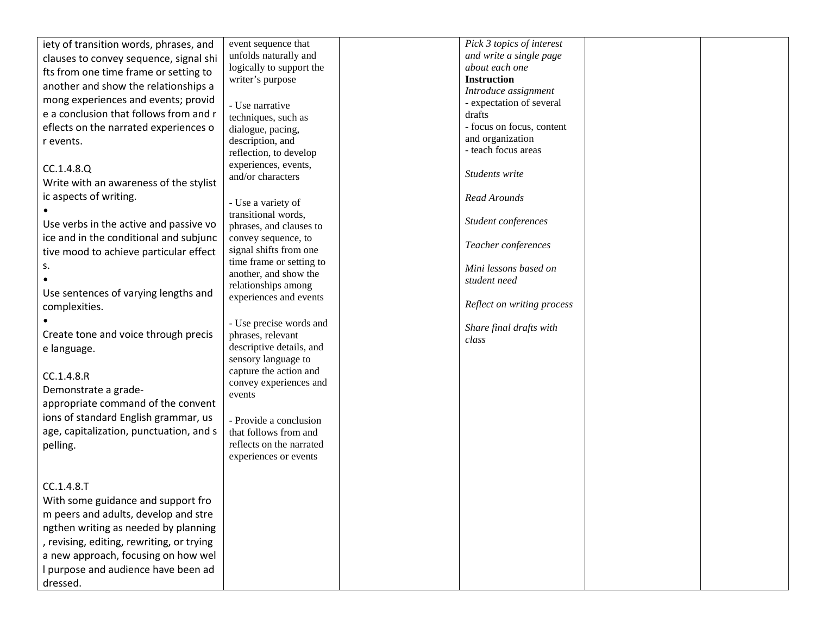| unfolds naturally and<br>and write a single page<br>clauses to convey sequence, signal shi<br>logically to support the<br>about each one |  |
|------------------------------------------------------------------------------------------------------------------------------------------|--|
|                                                                                                                                          |  |
| fts from one time frame or setting to                                                                                                    |  |
| <b>Instruction</b><br>writer's purpose<br>another and show the relationships a                                                           |  |
| Introduce assignment<br>mong experiences and events; provid<br>- expectation of several                                                  |  |
| - Use narrative<br>e a conclusion that follows from and r<br>drafts                                                                      |  |
| techniques, such as<br>- focus on focus, content<br>eflects on the narrated experiences o                                                |  |
| dialogue, pacing,<br>and organization<br>description, and<br>r events.                                                                   |  |
| - teach focus areas<br>reflection, to develop                                                                                            |  |
| experiences, events,                                                                                                                     |  |
| CC.1.4.8.Q<br>Students write<br>and/or characters                                                                                        |  |
| Write with an awareness of the stylist                                                                                                   |  |
| ic aspects of writing.<br>Read Arounds<br>- Use a variety of                                                                             |  |
| transitional words,                                                                                                                      |  |
| Student conferences<br>Use verbs in the active and passive vo<br>phrases, and clauses to                                                 |  |
| ice and in the conditional and subjunc<br>convey sequence, to                                                                            |  |
| Teacher conferences<br>signal shifts from one<br>tive mood to achieve particular effect                                                  |  |
| time frame or setting to<br>s.<br>Mini lessons based on                                                                                  |  |
| another, and show the<br>student need                                                                                                    |  |
| relationships among<br>Use sentences of varying lengths and                                                                              |  |
| experiences and events<br>Reflect on writing process<br>complexities.                                                                    |  |
|                                                                                                                                          |  |
| - Use precise words and<br>Share final drafts with                                                                                       |  |
| Create tone and voice through precis<br>phrases, relevant<br>class<br>descriptive details, and                                           |  |
| e language.<br>sensory language to                                                                                                       |  |
| capture the action and                                                                                                                   |  |
| CC.1.4.8.R<br>convey experiences and                                                                                                     |  |
| Demonstrate a grade-<br>events                                                                                                           |  |
| appropriate command of the convent                                                                                                       |  |
| ions of standard English grammar, us<br>- Provide a conclusion                                                                           |  |
| age, capitalization, punctuation, and s<br>that follows from and                                                                         |  |
| reflects on the narrated<br>pelling.                                                                                                     |  |
| experiences or events                                                                                                                    |  |
|                                                                                                                                          |  |
| CC.1.4.8.T                                                                                                                               |  |
| With some guidance and support fro                                                                                                       |  |
|                                                                                                                                          |  |
| m peers and adults, develop and stre                                                                                                     |  |
| ngthen writing as needed by planning                                                                                                     |  |
| , revising, editing, rewriting, or trying                                                                                                |  |
| a new approach, focusing on how wel                                                                                                      |  |
| I purpose and audience have been ad                                                                                                      |  |
| dressed.                                                                                                                                 |  |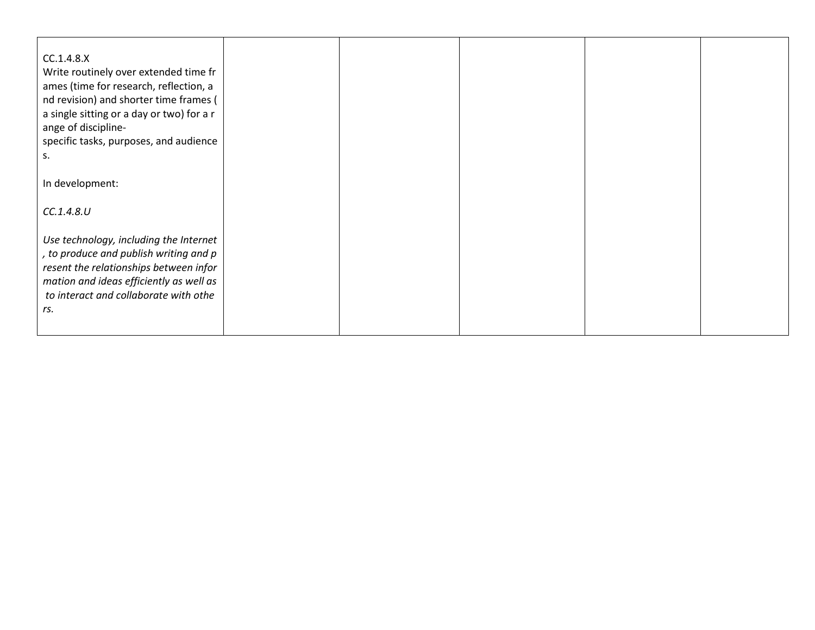| CC.1.4.8.X<br>Write routinely over extended time fr<br>ames (time for research, reflection, a<br>nd revision) and shorter time frames (<br>a single sitting or a day or two) for a r<br>ange of discipline-<br>specific tasks, purposes, and audience<br>s. |  |  |  |
|-------------------------------------------------------------------------------------------------------------------------------------------------------------------------------------------------------------------------------------------------------------|--|--|--|
| In development:                                                                                                                                                                                                                                             |  |  |  |
| CC.1.4.8.U                                                                                                                                                                                                                                                  |  |  |  |
| Use technology, including the Internet<br>, to produce and publish writing and p<br>resent the relationships between infor<br>mation and ideas efficiently as well as<br>to interact and collaborate with othe<br>rs.                                       |  |  |  |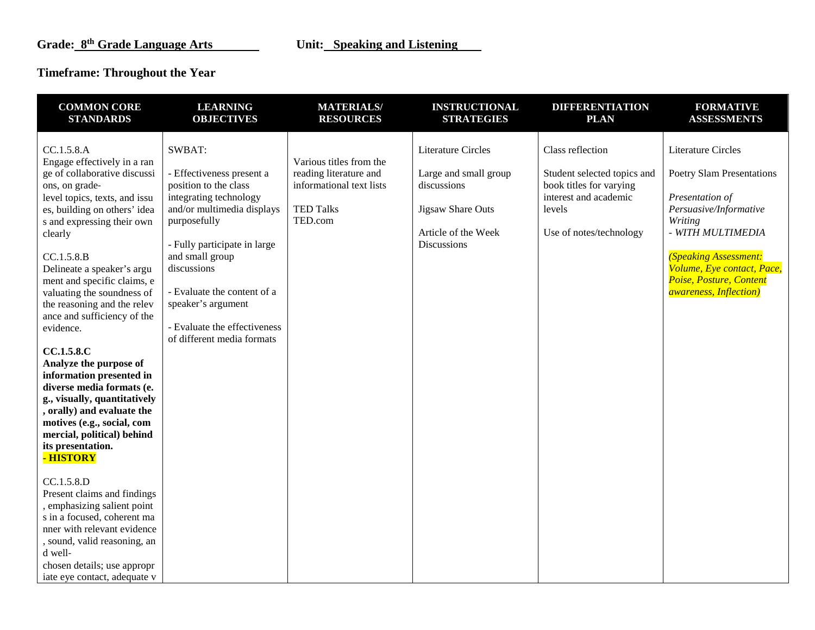## **Timeframe: Throughout the Year**

| <b>COMMON CORE</b>                                                                                                                                                                                                                                                                                                                                                                                                                                                                                                                                                                                                                                                                                                                                                                                                                                                                                         | <b>LEARNING</b>                                                                                                                                                                                                                                                                                                           | <b>MATERIALS/</b>                                                                                            | <b>INSTRUCTIONAL</b>                                                                                                                       | <b>DIFFERENTIATION</b>                                                                                                                   | <b>FORMATIVE</b>                                                                                                                                                                                                                                                                     |
|------------------------------------------------------------------------------------------------------------------------------------------------------------------------------------------------------------------------------------------------------------------------------------------------------------------------------------------------------------------------------------------------------------------------------------------------------------------------------------------------------------------------------------------------------------------------------------------------------------------------------------------------------------------------------------------------------------------------------------------------------------------------------------------------------------------------------------------------------------------------------------------------------------|---------------------------------------------------------------------------------------------------------------------------------------------------------------------------------------------------------------------------------------------------------------------------------------------------------------------------|--------------------------------------------------------------------------------------------------------------|--------------------------------------------------------------------------------------------------------------------------------------------|------------------------------------------------------------------------------------------------------------------------------------------|--------------------------------------------------------------------------------------------------------------------------------------------------------------------------------------------------------------------------------------------------------------------------------------|
| <b>STANDARDS</b>                                                                                                                                                                                                                                                                                                                                                                                                                                                                                                                                                                                                                                                                                                                                                                                                                                                                                           | <b>OBJECTIVES</b>                                                                                                                                                                                                                                                                                                         | <b>RESOURCES</b>                                                                                             | <b>STRATEGIES</b>                                                                                                                          | <b>PLAN</b>                                                                                                                              | <b>ASSESSMENTS</b>                                                                                                                                                                                                                                                                   |
| CC.1.5.8.A<br>Engage effectively in a ran<br>ge of collaborative discussi<br>ons, on grade-<br>level topics, texts, and issu<br>es, building on others' idea<br>s and expressing their own<br>clearly<br>CC.1.5.8.B<br>Delineate a speaker's argu<br>ment and specific claims, e<br>valuating the soundness of<br>the reasoning and the relev<br>ance and sufficiency of the<br>evidence.<br>CC.1.5.8.C<br>Analyze the purpose of<br>information presented in<br>diverse media formats (e.<br>g., visually, quantitatively<br>, orally) and evaluate the<br>motives (e.g., social, com<br>mercial, political) behind<br>its presentation.<br>- HISTORY<br>CC.1.5.8.D<br>Present claims and findings<br>, emphasizing salient point<br>s in a focused, coherent ma<br>nner with relevant evidence<br>, sound, valid reasoning, an<br>d well-<br>chosen details; use appropr<br>iate eye contact, adequate v | SWBAT:<br>- Effectiveness present a<br>position to the class<br>integrating technology<br>and/or multimedia displays<br>purposefully<br>- Fully participate in large<br>and small group<br>discussions<br>- Evaluate the content of a<br>speaker's argument<br>- Evaluate the effectiveness<br>of different media formats | Various titles from the<br>reading literature and<br>informational text lists<br><b>TED Talks</b><br>TED.com | <b>Literature Circles</b><br>Large and small group<br>discussions<br><b>Jigsaw Share Outs</b><br>Article of the Week<br><b>Discussions</b> | Class reflection<br>Student selected topics and<br>book titles for varying<br>interest and academic<br>levels<br>Use of notes/technology | <b>Literature Circles</b><br><b>Poetry Slam Presentations</b><br>Presentation of<br>Persuasive/Informative<br>Writing<br>- WITH MULTIMEDIA<br><b>(Speaking Assessment:</b><br>Volume, Eye contact, Pace,<br>Poise, Posture, Content<br><i><b>awareness</b></i> , <i>Inflection</i> ) |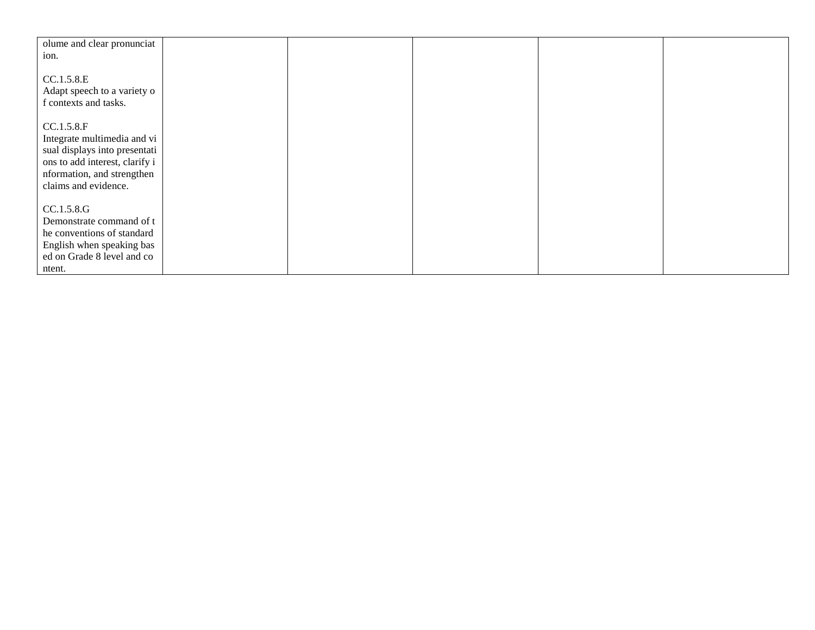| olume and clear pronunciat                                                                                                  |  |  |  |
|-----------------------------------------------------------------------------------------------------------------------------|--|--|--|
| ion.                                                                                                                        |  |  |  |
|                                                                                                                             |  |  |  |
|                                                                                                                             |  |  |  |
| CC.1.5.8.E                                                                                                                  |  |  |  |
|                                                                                                                             |  |  |  |
| Adapt speech to a variety o                                                                                                 |  |  |  |
| f contexts and tasks.                                                                                                       |  |  |  |
|                                                                                                                             |  |  |  |
|                                                                                                                             |  |  |  |
| CC.1.5.8.F                                                                                                                  |  |  |  |
| Integrate multimedia and vi                                                                                                 |  |  |  |
|                                                                                                                             |  |  |  |
| sual displays into presentati                                                                                               |  |  |  |
| ons to add interest, clarify i                                                                                              |  |  |  |
|                                                                                                                             |  |  |  |
| nformation, and strengthen                                                                                                  |  |  |  |
| claims and evidence.                                                                                                        |  |  |  |
|                                                                                                                             |  |  |  |
|                                                                                                                             |  |  |  |
| CC.1.5.8.G                                                                                                                  |  |  |  |
|                                                                                                                             |  |  |  |
|                                                                                                                             |  |  |  |
|                                                                                                                             |  |  |  |
|                                                                                                                             |  |  |  |
|                                                                                                                             |  |  |  |
|                                                                                                                             |  |  |  |
| Demonstrate command of t<br>he conventions of standard<br>English when speaking bas<br>ed on Grade 8 level and co<br>ntent. |  |  |  |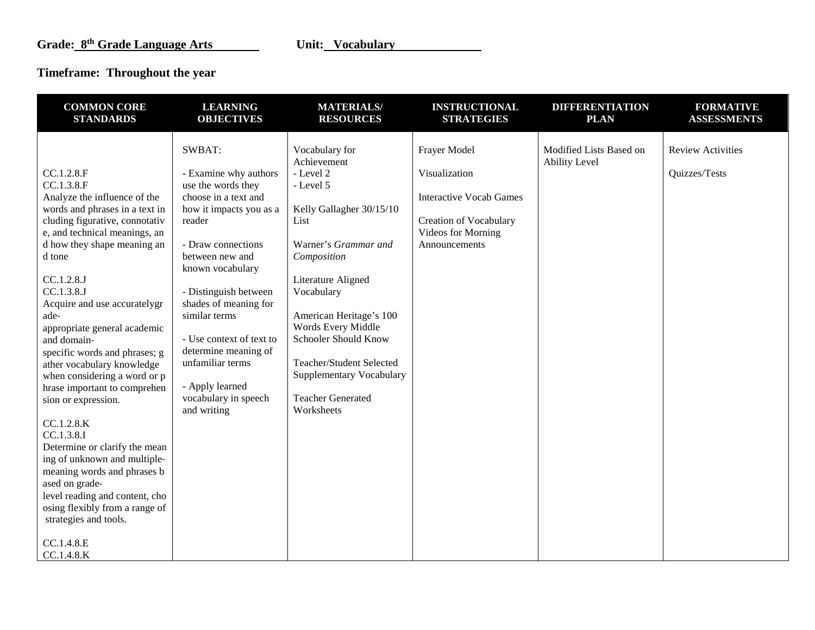# **Timeframe: Throughout the year**

| <b>COMMON CORE</b>                                                                                                                                                                                                                                                                                                                                                                                                                                                                                                                                                                                                                                                                                                                                     | <b>LEARNING</b>                                                                                                                                                                                                                                                                                                                                                                      | <b>MATERIALS/</b>                                                                                                                                                                                                                                                                                                                                 | <b>INSTRUCTIONAL</b>                                                                                                                    | <b>DIFFERENTIATION</b>                          | <b>FORMATIVE</b>                          |
|--------------------------------------------------------------------------------------------------------------------------------------------------------------------------------------------------------------------------------------------------------------------------------------------------------------------------------------------------------------------------------------------------------------------------------------------------------------------------------------------------------------------------------------------------------------------------------------------------------------------------------------------------------------------------------------------------------------------------------------------------------|--------------------------------------------------------------------------------------------------------------------------------------------------------------------------------------------------------------------------------------------------------------------------------------------------------------------------------------------------------------------------------------|---------------------------------------------------------------------------------------------------------------------------------------------------------------------------------------------------------------------------------------------------------------------------------------------------------------------------------------------------|-----------------------------------------------------------------------------------------------------------------------------------------|-------------------------------------------------|-------------------------------------------|
| <b>STANDARDS</b>                                                                                                                                                                                                                                                                                                                                                                                                                                                                                                                                                                                                                                                                                                                                       | <b>OBJECTIVES</b>                                                                                                                                                                                                                                                                                                                                                                    | <b>RESOURCES</b>                                                                                                                                                                                                                                                                                                                                  | <b>STRATEGIES</b>                                                                                                                       | <b>PLAN</b>                                     | <b>ASSESSMENTS</b>                        |
| CC.1.2.8.F<br>CC.1.3.8.F<br>Analyze the influence of the<br>words and phrases in a text in<br>cluding figurative, connotativ<br>e, and technical meanings, an<br>d how they shape meaning an<br>d tone<br>CC.1.2.8.J<br>CC.1.3.8.J<br>Acquire and use accuratelygr<br>ade-<br>appropriate general academic<br>and domain-<br>specific words and phrases; g<br>ather vocabulary knowledge<br>when considering a word or p<br>hrase important to comprehen<br>sion or expression.<br>CC.1.2.8.K<br>CC.1.3.8.I<br>Determine or clarify the mean<br>ing of unknown and multiple-<br>meaning words and phrases b<br>ased on grade-<br>level reading and content, cho<br>osing flexibly from a range of<br>strategies and tools.<br>CC.1.4.8.E<br>CC.1.4.8.K | SWBAT:<br>- Examine why authors<br>use the words they<br>choose in a text and<br>how it impacts you as a<br>reader<br>- Draw connections<br>between new and<br>known vocabulary<br>- Distinguish between<br>shades of meaning for<br>similar terms<br>- Use context of text to<br>determine meaning of<br>unfamiliar terms<br>- Apply learned<br>vocabulary in speech<br>and writing | Vocabulary for<br>Achievement<br>- Level 2<br>- Level 5<br>Kelly Gallagher 30/15/10<br>List<br>Warner's Grammar and<br>Composition<br>Literature Aligned<br>Vocabulary<br>American Heritage's 100<br>Words Every Middle<br>Schooler Should Know<br>Teacher/Student Selected<br>Supplementary Vocabulary<br><b>Teacher Generated</b><br>Worksheets | Frayer Model<br>Visualization<br><b>Interactive Vocab Games</b><br><b>Creation of Vocabulary</b><br>Videos for Morning<br>Announcements | Modified Lists Based on<br><b>Ability Level</b> | <b>Review Activities</b><br>Quizzes/Tests |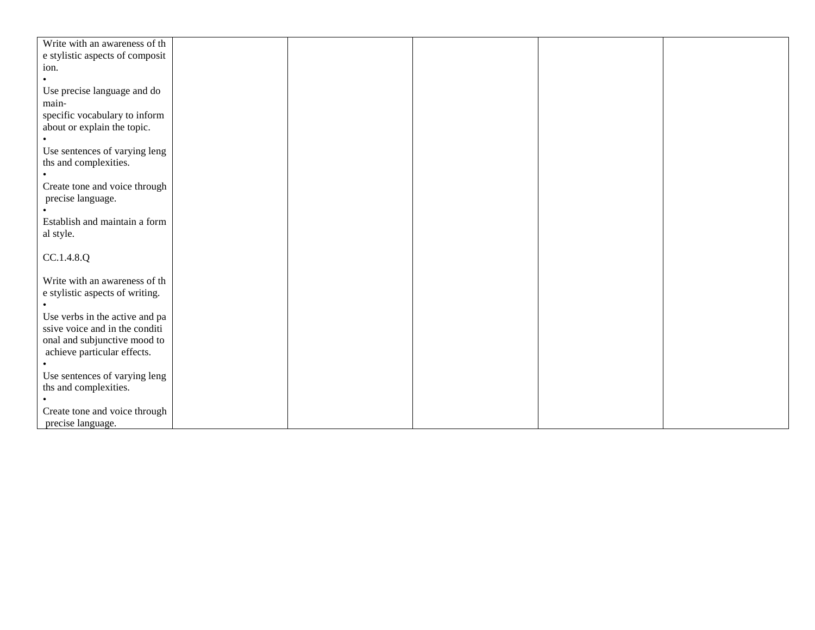| Write with an awareness of th   |  |  |  |
|---------------------------------|--|--|--|
| e stylistic aspects of composit |  |  |  |
| ion.                            |  |  |  |
|                                 |  |  |  |
| Use precise language and do     |  |  |  |
| main-                           |  |  |  |
|                                 |  |  |  |
| specific vocabulary to inform   |  |  |  |
| about or explain the topic.     |  |  |  |
|                                 |  |  |  |
| Use sentences of varying leng   |  |  |  |
| ths and complexities.           |  |  |  |
|                                 |  |  |  |
| Create tone and voice through   |  |  |  |
|                                 |  |  |  |
| precise language.               |  |  |  |
|                                 |  |  |  |
| Establish and maintain a form   |  |  |  |
| al style.                       |  |  |  |
|                                 |  |  |  |
| CC.1.4.8.Q                      |  |  |  |
|                                 |  |  |  |
| Write with an awareness of th   |  |  |  |
|                                 |  |  |  |
| e stylistic aspects of writing. |  |  |  |
|                                 |  |  |  |
| Use verbs in the active and pa  |  |  |  |
| ssive voice and in the conditi  |  |  |  |
| onal and subjunctive mood to    |  |  |  |
| achieve particular effects.     |  |  |  |
|                                 |  |  |  |
| Use sentences of varying leng   |  |  |  |
| ths and complexities.           |  |  |  |
|                                 |  |  |  |
|                                 |  |  |  |
| Create tone and voice through   |  |  |  |
| precise language.               |  |  |  |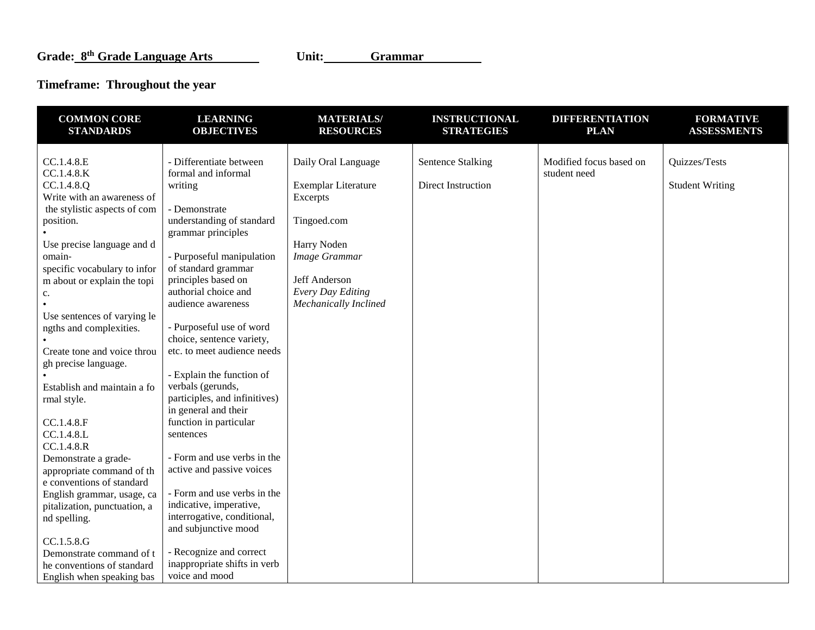# **Timeframe: Throughout the year**

| <b>COMMON CORE</b><br><b>STANDARDS</b>                                                                                                                                                                                                                                          | <b>LEARNING</b><br><b>OBJECTIVES</b>                                                                                                                                                                                                                                                 | <b>MATERIALS/</b><br><b>RESOURCES</b>                                                                                  | <b>INSTRUCTIONAL</b><br><b>STRATEGIES</b>      | <b>DIFFERENTIATION</b><br><b>PLAN</b>   | <b>FORMATIVE</b><br><b>ASSESSMENTS</b>  |
|---------------------------------------------------------------------------------------------------------------------------------------------------------------------------------------------------------------------------------------------------------------------------------|--------------------------------------------------------------------------------------------------------------------------------------------------------------------------------------------------------------------------------------------------------------------------------------|------------------------------------------------------------------------------------------------------------------------|------------------------------------------------|-----------------------------------------|-----------------------------------------|
| CC.1.4.8.E<br>CC.1.4.8.K<br>CC.1.4.8.Q<br>Write with an awareness of<br>the stylistic aspects of com<br>position.<br>Use precise language and d<br>omain-<br>specific vocabulary to infor<br>m about or explain the topi                                                        | - Differentiate between<br>formal and informal<br>writing<br>- Demonstrate<br>understanding of standard<br>grammar principles<br>- Purposeful manipulation<br>of standard grammar<br>principles based on                                                                             | Daily Oral Language<br>Exemplar Literature<br>Excerpts<br>Tingoed.com<br>Harry Noden<br>Image Grammar<br>Jeff Anderson | <b>Sentence Stalking</b><br>Direct Instruction | Modified focus based on<br>student need | Quizzes/Tests<br><b>Student Writing</b> |
| c.<br>Use sentences of varying le<br>ngths and complexities.<br>Create tone and voice throu<br>gh precise language.<br>Establish and maintain a fo<br>rmal style.<br>CC.1.4.8.F<br>CC.1.4.8.L                                                                                   | authorial choice and<br>audience awareness<br>- Purposeful use of word<br>choice, sentence variety,<br>etc. to meet audience needs<br>- Explain the function of<br>verbals (gerunds,<br>participles, and infinitives)<br>in general and their<br>function in particular<br>sentences | Every Day Editing<br>Mechanically Inclined                                                                             |                                                |                                         |                                         |
| CC.1.4.8.R<br>Demonstrate a grade-<br>appropriate command of th<br>e conventions of standard<br>English grammar, usage, ca<br>pitalization, punctuation, a<br>nd spelling.<br>CC.1.5.8.G<br>Demonstrate command of t<br>he conventions of standard<br>English when speaking bas | - Form and use verbs in the<br>active and passive voices<br>- Form and use verbs in the<br>indicative, imperative,<br>interrogative, conditional,<br>and subjunctive mood<br>- Recognize and correct<br>inappropriate shifts in verb<br>voice and mood                               |                                                                                                                        |                                                |                                         |                                         |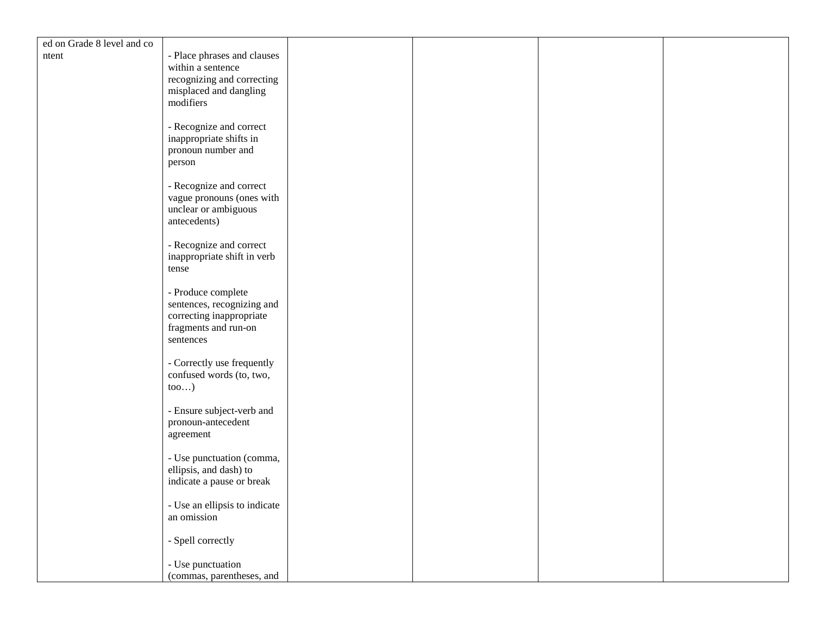| - Place phrases and clauses<br>ntent<br>within a sentence<br>recognizing and correcting<br>misplaced and dangling<br>modifiers<br>- Recognize and correct<br>inappropriate shifts in<br>pronoun number and<br>person<br>- Recognize and correct<br>vague pronouns (ones with<br>unclear or ambiguous<br>antecedents)<br>- Recognize and correct<br>inappropriate shift in verb<br>tense<br>- Produce complete<br>sentences, recognizing and<br>correcting inappropriate<br>fragments and run-on<br>sentences<br>- Correctly use frequently<br>confused words (to, two,<br>$\text{too}$ )<br>- Ensure subject-verb and |
|-----------------------------------------------------------------------------------------------------------------------------------------------------------------------------------------------------------------------------------------------------------------------------------------------------------------------------------------------------------------------------------------------------------------------------------------------------------------------------------------------------------------------------------------------------------------------------------------------------------------------|
|                                                                                                                                                                                                                                                                                                                                                                                                                                                                                                                                                                                                                       |
|                                                                                                                                                                                                                                                                                                                                                                                                                                                                                                                                                                                                                       |
|                                                                                                                                                                                                                                                                                                                                                                                                                                                                                                                                                                                                                       |
|                                                                                                                                                                                                                                                                                                                                                                                                                                                                                                                                                                                                                       |
|                                                                                                                                                                                                                                                                                                                                                                                                                                                                                                                                                                                                                       |
|                                                                                                                                                                                                                                                                                                                                                                                                                                                                                                                                                                                                                       |
|                                                                                                                                                                                                                                                                                                                                                                                                                                                                                                                                                                                                                       |
|                                                                                                                                                                                                                                                                                                                                                                                                                                                                                                                                                                                                                       |
|                                                                                                                                                                                                                                                                                                                                                                                                                                                                                                                                                                                                                       |
|                                                                                                                                                                                                                                                                                                                                                                                                                                                                                                                                                                                                                       |
|                                                                                                                                                                                                                                                                                                                                                                                                                                                                                                                                                                                                                       |
|                                                                                                                                                                                                                                                                                                                                                                                                                                                                                                                                                                                                                       |
|                                                                                                                                                                                                                                                                                                                                                                                                                                                                                                                                                                                                                       |
|                                                                                                                                                                                                                                                                                                                                                                                                                                                                                                                                                                                                                       |
|                                                                                                                                                                                                                                                                                                                                                                                                                                                                                                                                                                                                                       |
|                                                                                                                                                                                                                                                                                                                                                                                                                                                                                                                                                                                                                       |
|                                                                                                                                                                                                                                                                                                                                                                                                                                                                                                                                                                                                                       |
|                                                                                                                                                                                                                                                                                                                                                                                                                                                                                                                                                                                                                       |
|                                                                                                                                                                                                                                                                                                                                                                                                                                                                                                                                                                                                                       |
|                                                                                                                                                                                                                                                                                                                                                                                                                                                                                                                                                                                                                       |
|                                                                                                                                                                                                                                                                                                                                                                                                                                                                                                                                                                                                                       |
|                                                                                                                                                                                                                                                                                                                                                                                                                                                                                                                                                                                                                       |
|                                                                                                                                                                                                                                                                                                                                                                                                                                                                                                                                                                                                                       |
|                                                                                                                                                                                                                                                                                                                                                                                                                                                                                                                                                                                                                       |
|                                                                                                                                                                                                                                                                                                                                                                                                                                                                                                                                                                                                                       |
|                                                                                                                                                                                                                                                                                                                                                                                                                                                                                                                                                                                                                       |
|                                                                                                                                                                                                                                                                                                                                                                                                                                                                                                                                                                                                                       |
| pronoun-antecedent                                                                                                                                                                                                                                                                                                                                                                                                                                                                                                                                                                                                    |
| agreement                                                                                                                                                                                                                                                                                                                                                                                                                                                                                                                                                                                                             |
|                                                                                                                                                                                                                                                                                                                                                                                                                                                                                                                                                                                                                       |
| - Use punctuation (comma,<br>ellipsis, and dash) to                                                                                                                                                                                                                                                                                                                                                                                                                                                                                                                                                                   |
| indicate a pause or break                                                                                                                                                                                                                                                                                                                                                                                                                                                                                                                                                                                             |
|                                                                                                                                                                                                                                                                                                                                                                                                                                                                                                                                                                                                                       |
| - Use an ellipsis to indicate                                                                                                                                                                                                                                                                                                                                                                                                                                                                                                                                                                                         |
| an omission                                                                                                                                                                                                                                                                                                                                                                                                                                                                                                                                                                                                           |
|                                                                                                                                                                                                                                                                                                                                                                                                                                                                                                                                                                                                                       |
| - Spell correctly                                                                                                                                                                                                                                                                                                                                                                                                                                                                                                                                                                                                     |
| - Use punctuation                                                                                                                                                                                                                                                                                                                                                                                                                                                                                                                                                                                                     |
| (commas, parentheses, and                                                                                                                                                                                                                                                                                                                                                                                                                                                                                                                                                                                             |